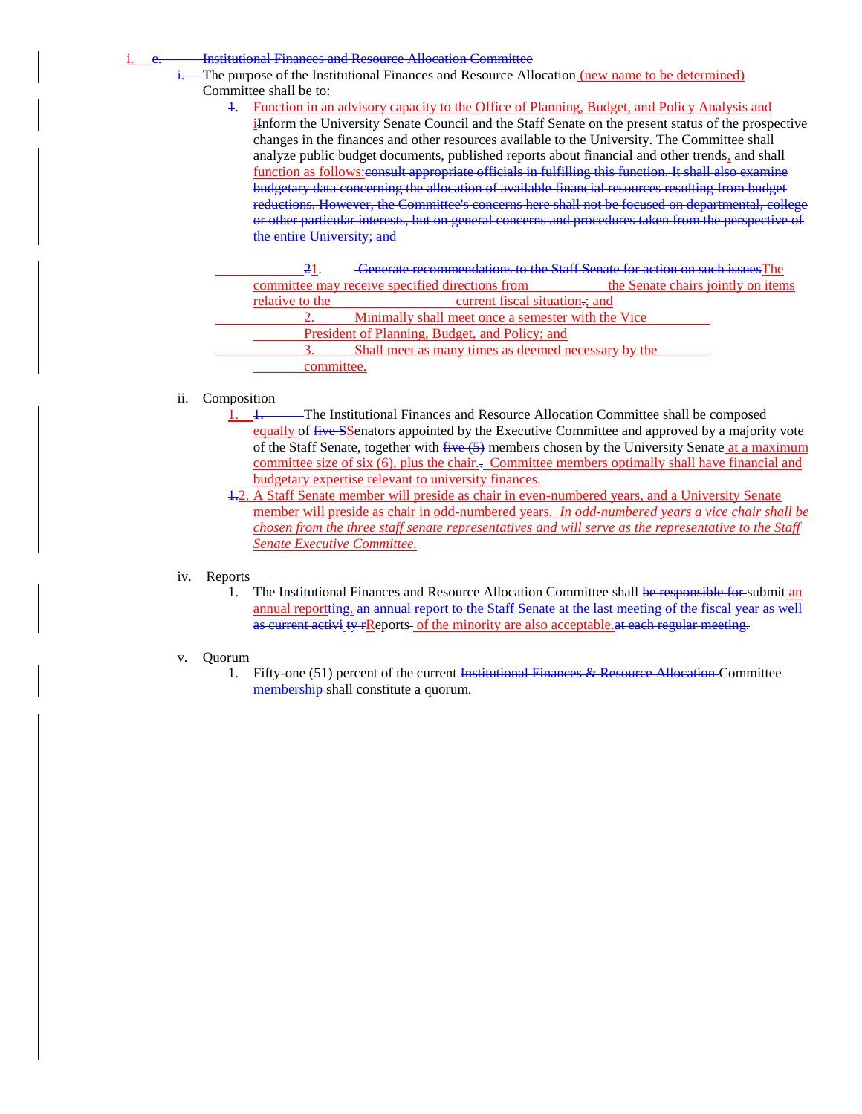#### **Institutional Finances and Resource Allocation Committee**

The purpose of the Institutional Finances and Resource Allocation (new name to be determined) Committee shall be to:

- 1. Function in an advisory capacity to the Office of Planning, Budget, and Policy Analysis and
	- iInform the University Senate Council and the Staff Senate on the present status of the prospective changes in the finances and other resources available to the University. The Committee shall analyze public budget documents, published reports about financial and other trends, and shall function as follows: consult appropriate officials in fulfilling this function. It shall also examine budgetary data concerning the allocation of available financial resources resulting from budget reductions. However, the Committee's concerns here shall not be focused on departmental, college or other particular interests, but on general concerns and procedures taken from the perspective of the entire University; and

| 21                                              | <b>Generate recommendations to the Staff Senate for action on such issues</b> The |                                    |
|-------------------------------------------------|-----------------------------------------------------------------------------------|------------------------------------|
| committee may receive specified directions from |                                                                                   | the Senate chairs jointly on items |
| relative to the                                 | current fiscal situation.; and                                                    |                                    |
|                                                 | Minimally shall meet once a semester with the Vice                                |                                    |
| President of Planning, Budget, and Policy; and  |                                                                                   |                                    |
|                                                 | Shall meet as many times as deemed necessary by the                               |                                    |
| committee.                                      |                                                                                   |                                    |

- ii. Composition
	- 1. 1. The Institutional Finances and Resource Allocation Committee shall be composed equally of five SSenators appointed by the Executive Committee and approved by a majority vote of the Staff Senate, together with  $f^2(x)$  members chosen by the University Senate at a maximum committee size of six (6), plus the chair.. Committee members optimally shall have financial and budgetary expertise relevant to university finances.
	- 1.2. A Staff Senate member will preside as chair in even-numbered years, and a University Senate member will preside as chair in odd-numbered years. *In odd-numbered years a vice chair shall be chosen from the three staff senate representatives and will serve as the representative to the Staff Senate Executive Committee.*

### iv. Reports

1. The Institutional Finances and Resource Allocation Committee shall be responsible for submit an annual reportting. an annual report to the Staff Senate at the last meeting of the fiscal year as well as current activi ty rReports- of the minority are also acceptable at each regular meeting.

### v. Quorum

1. Fifty-one (51) percent of the current Institutional Finances & Resource Allocation Committee membership shall constitute a quorum.